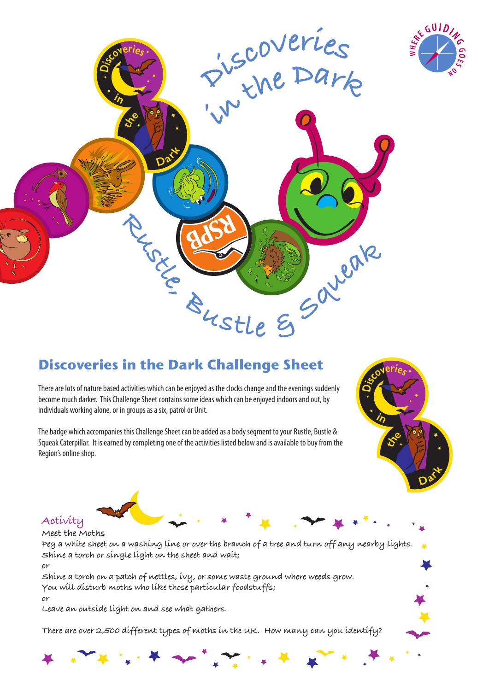

# **Discoveries in the Dark Challenge Sheet**

There are lots of nature based activities which can be enjoyed as the clocks change and the evenings suddenly become much darker. This Challenge Sheet contains some ideas which can be enjoyed indoors and out, by individuals working alone, or in groups as a six, patrol or Unit.

The badge which accompanies this Challenge Sheet can be added as a body segment to your Rustle, Bustle & Squeak Caterpillar. It is earned by completing one of the activities listed below and is available to buy from the Region's online shop.



CUID



**Meet the Moths Peg a white sheet on a washing line or over the branch of a tree and turn off any nearby lights. Shine a torch or single light on the sheet and wait;**

**or**

**Shine a torch on a patch of nettles, ivy, or some waste ground where weeds grow. You will disturb moths who like those particular foodstuffs; or**

**Leave an outside light on and see what gathers.**

**There are over 2,500 different types of moths in the UK. How many can you identify?**